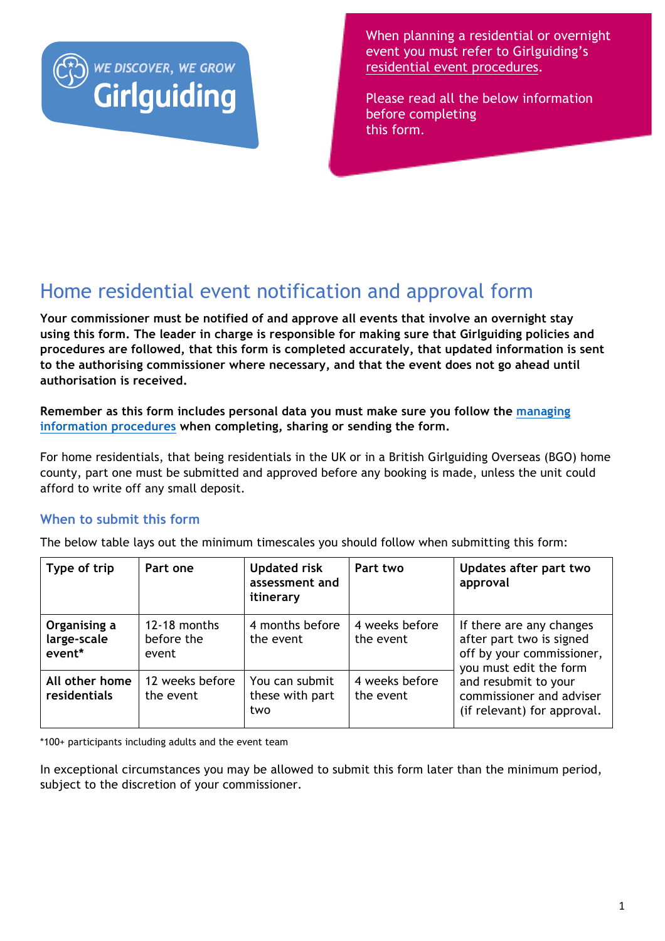

When planning a residential or overnight event you must refer to Girlguiding's residential event procedures.

Please read all the below information before completing this form.

## Home residential event notification and approval form

**Your commissioner must be notified of and approve all events that involve an overnight stay using this form. The leader in charge is responsible for making sure that Girlguiding policies and procedures are followed, that this form is completed accurately, that updated information is sent to the authorising commissioner where necessary, and that the event does not go ahead until authorisation is received.** 

**Remember as this form includes personal data you must make sure you follow the managing information procedures when completing, sharing or sending the form.**

For home residentials, that being residentials in the UK or in a British Girlguiding Overseas (BGO) home county, part one must be submitted and approved before any booking is made, unless the unit could afford to write off any small deposit.

## **When to submit this form**

The below table lays out the minimum timescales you should follow when submitting this form:

| Type of trip                          | Part one                            | <b>Updated risk</b><br>assessment and<br>itinerary | Part two                    | Updates after part two<br>approval                                                                          |
|---------------------------------------|-------------------------------------|----------------------------------------------------|-----------------------------|-------------------------------------------------------------------------------------------------------------|
| Organising a<br>large-scale<br>event* | 12-18 months<br>before the<br>event | 4 months before<br>the event                       | 4 weeks before<br>the event | If there are any changes<br>after part two is signed<br>off by your commissioner,<br>you must edit the form |
| All other home<br>residentials        | 12 weeks before<br>the event        | You can submit<br>these with part<br>two           | 4 weeks before<br>the event | and resubmit to your<br>commissioner and adviser<br>(if relevant) for approval.                             |

\*100+ participants including adults and the event team

In exceptional circumstances you may be allowed to submit this form later than the minimum period, subject to the discretion of your commissioner.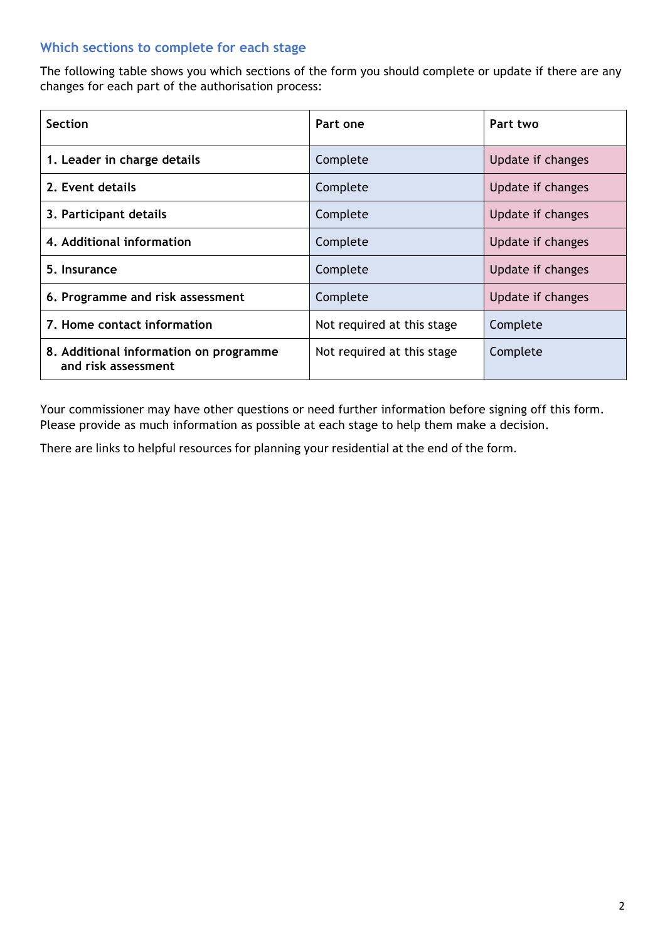### **Which sections to complete for each stage**

The following table shows you which sections of the form you should complete or update if there are any changes for each part of the authorisation process:

| <b>Section</b>                                                | Part one                   | Part two          |
|---------------------------------------------------------------|----------------------------|-------------------|
| 1. Leader in charge details                                   | Complete                   | Update if changes |
| 2. Event details                                              | Complete                   | Update if changes |
| 3. Participant details                                        | Complete                   | Update if changes |
| 4. Additional information                                     | Complete                   | Update if changes |
| 5. Insurance                                                  | Complete                   | Update if changes |
| 6. Programme and risk assessment                              | Complete                   | Update if changes |
| 7. Home contact information                                   | Not required at this stage | Complete          |
| 8. Additional information on programme<br>and risk assessment | Not required at this stage | Complete          |

Your commissioner may have other questions or need further information before signing off this form. Please provide as much information as possible at each stage to help them make a decision.

There are links to helpful resources for planning your residential at the end of the form.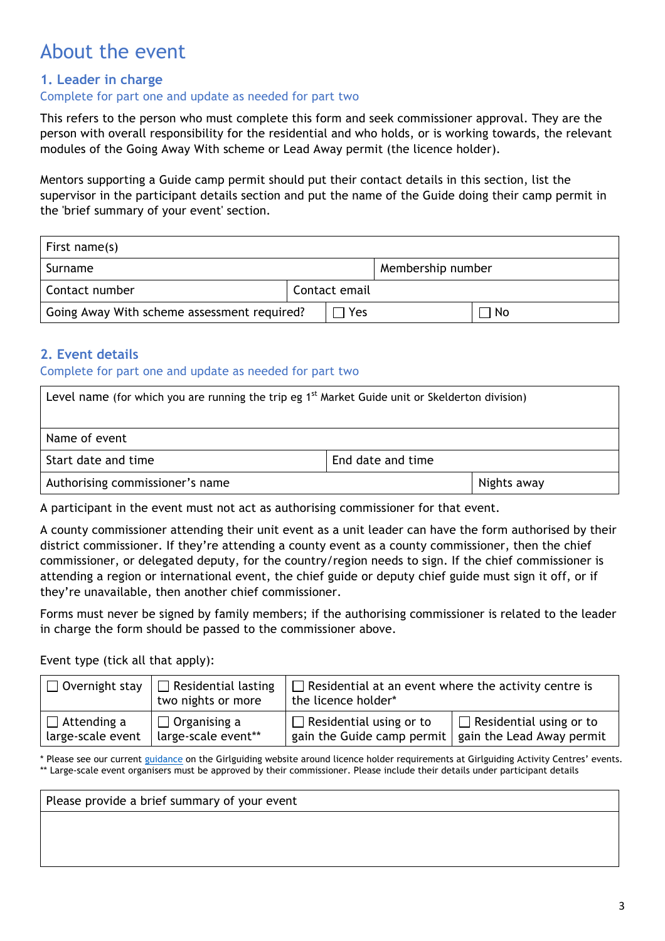## About the event

### **1. Leader in charge**

#### Complete for part one and update as needed for part two

This refers to the person who must complete this form and seek commissioner approval. They are the person with overall responsibility for the residential and who holds, or is working towards, the relevant modules of the Going Away With scheme or Lead Away permit (the licence holder).

Mentors supporting a Guide camp permit should put their contact details in this section, list the supervisor in the participant details section and put the name of the Guide doing their camp permit in the 'brief summary of your event' section.

| First name(s)                               |  |               |                   |     |
|---------------------------------------------|--|---------------|-------------------|-----|
| Surname                                     |  |               | Membership number |     |
| Contact number                              |  | Contact email |                   |     |
| Going Away With scheme assessment required? |  | Yes           |                   | No. |

### **2. Event details**

#### Complete for part one and update as needed for part two

| Level name (for which you are running the trip eg 1 <sup>st</sup> Market Guide unit or Skelderton division) |  |  |
|-------------------------------------------------------------------------------------------------------------|--|--|
| Name of event                                                                                               |  |  |
| Start date and time<br>End date and time                                                                    |  |  |
| Authorising commissioner's name<br>Nights away                                                              |  |  |

A participant in the event must not act as authorising commissioner for that event.

A county commissioner attending their unit event as a unit leader can have the form authorised by their district commissioner. If they're attending a county event as a county commissioner, then the chief commissioner, or delegated deputy, for the country/region needs to sign. If the chief commissioner is attending a region or international event, the chief guide or deputy chief guide must sign it off, or if they're unavailable, then another chief commissioner.

Forms must never be signed by family members; if the authorising commissioner is related to the leader in charge the form should be passed to the commissioner above.

Event type (tick all that apply):

| $\Box$ Overnight stay ' | $\Box$ Residential lasting<br>two nights or more | $\Box$ Residential at an event where the activity centre is<br>the licence holder* |                                |
|-------------------------|--------------------------------------------------|------------------------------------------------------------------------------------|--------------------------------|
| $\Box$ Attending a      | $\Box$ Organising a                              | $\Box$ Residential using or to                                                     | $\Box$ Residential using or to |
| large-scale event       | large-scale event**                              | gain the Guide camp permit $\vert$ gain the Lead Away permit                       |                                |

\* Please see our current guidance on the Girlguiding website around licence holder requirements at Girlguiding Activity Centres' events. \*\* Large-scale event organisers must be approved by their commissioner. Please include their details under participant details

Please provide a brief summary of your event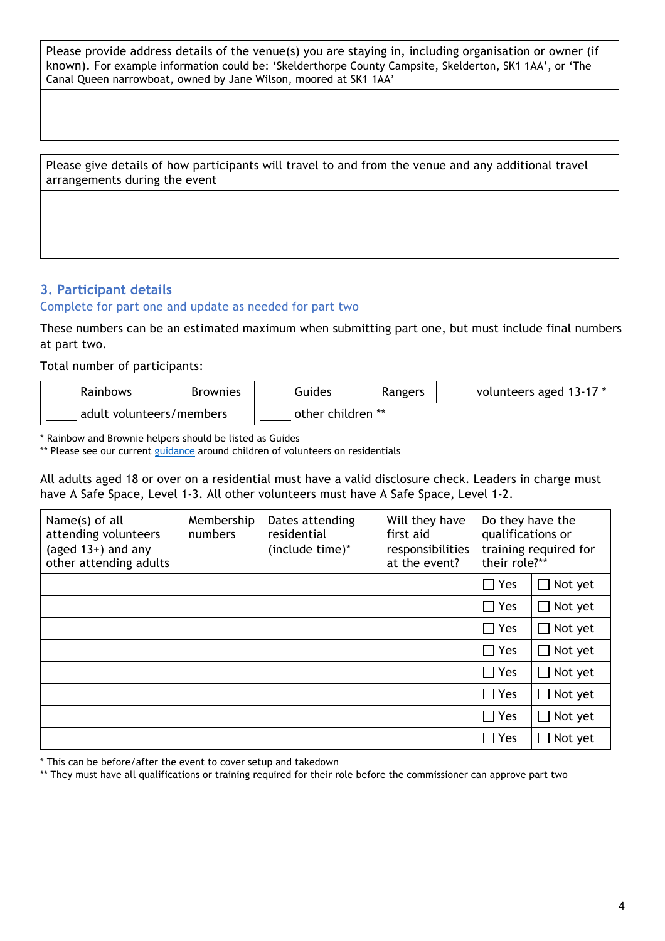Please provide address details of the venue(s) you are staying in, including organisation or owner (if known). For example information could be: 'Skelderthorpe County Campsite, Skelderton, SK1 1AA', or 'The Canal Queen narrowboat, owned by Jane Wilson, moored at SK1 1AA'

Please give details of how participants will travel to and from the venue and any additional travel arrangements during the event

## **3. Participant details**

#### Complete for part one and update as needed for part two

These numbers can be an estimated maximum when submitting part one, but must include final numbers at part two.

Total number of participants:

| Rainbows | Brownies                 | Guides            | Rangers | volunteers aged 13-17 * |
|----------|--------------------------|-------------------|---------|-------------------------|
|          | adult volunteers/members | other children ** |         |                         |

\* Rainbow and Brownie helpers should be listed as Guides

\*\* Please see our current guidance around children of volunteers on residentials

All adults aged 18 or over on a residential must have a valid disclosure check. Leaders in charge must have A Safe Space, Level 1-3. All other volunteers must have A Safe Space, Level 1-2.

| Name(s) of all<br>attending volunteers<br>(aged $13+$ ) and any<br>other attending adults | Membership<br>numbers | Dates attending<br>residential<br>(include time)* | Will they have<br>first aid<br>responsibilities<br>at the event? | Do they have the<br>qualifications or<br>their role?** | training required for |
|-------------------------------------------------------------------------------------------|-----------------------|---------------------------------------------------|------------------------------------------------------------------|--------------------------------------------------------|-----------------------|
|                                                                                           |                       |                                                   |                                                                  | $\Box$ Yes                                             | $\Box$ Not yet        |
|                                                                                           |                       |                                                   |                                                                  | $\Box$ Yes                                             | $\Box$ Not yet        |
|                                                                                           |                       |                                                   |                                                                  | $\Box$ Yes                                             | $\Box$ Not yet        |
|                                                                                           |                       |                                                   |                                                                  | $\Box$ Yes                                             | $\Box$ Not yet        |
|                                                                                           |                       |                                                   |                                                                  | $\Box$ Yes                                             | $\Box$ Not yet        |
|                                                                                           |                       |                                                   |                                                                  | $\Box$ Yes                                             | $\Box$ Not yet        |
|                                                                                           |                       |                                                   |                                                                  | $\Box$ Yes                                             | $\Box$ Not yet        |
|                                                                                           |                       |                                                   |                                                                  | $\Box$ Yes                                             | $\Box$ Not yet        |

\* This can be before/after the event to cover setup and takedown

\*\* They must have all qualifications or training required for their role before the commissioner can approve part two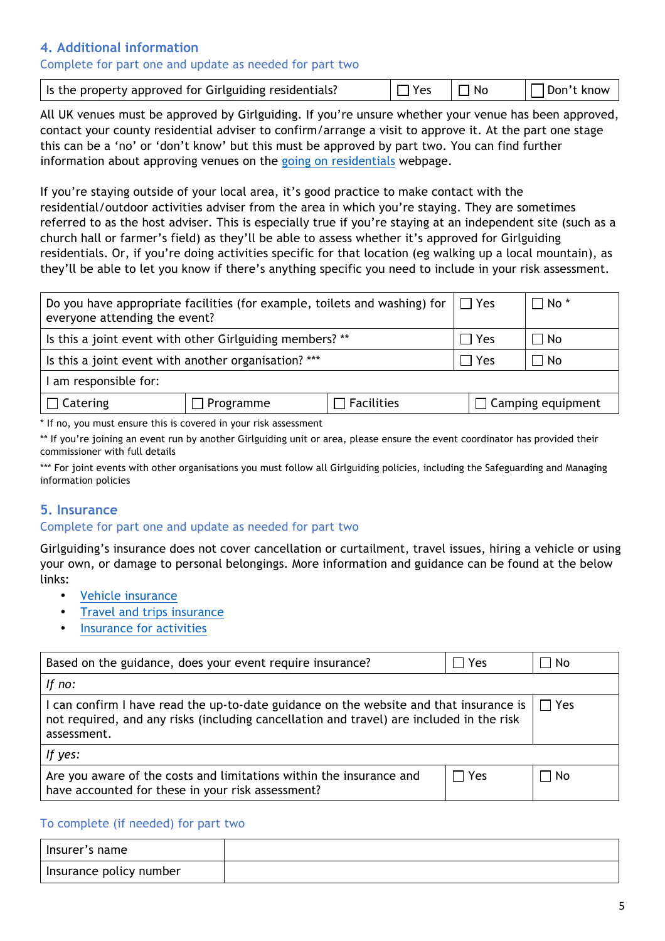### **4. Additional information**

#### Complete for part one and update as needed for part two

| Is the property approved for Girlguiding residentials? | $\Box$ Yes | $\Box$ No | $\Box$ Don't know |
|--------------------------------------------------------|------------|-----------|-------------------|
|                                                        |            |           |                   |

All UK venues must be approved by Girlguiding. If you're unsure whether your venue has been approved, contact your county residential adviser to confirm/arrange a visit to approve it. At the part one stage this can be a 'no' or 'don't know' but this must be approved by part two. You can find further information about approving venues on the going on residentials webpage.

If you're staying outside of your local area, it's good practice to make contact with the residential/outdoor activities adviser from the area in which you're staying. They are sometimes referred to as the host adviser. This is especially true if you're staying at an independent site (such as a church hall or farmer's field) as they'll be able to assess whether it's approved for Girlguiding residentials. Or, if you're doing activities specific for that location (eg walking up a local mountain), as they'll be able to let you know if there's anything specific you need to include in your risk assessment.

| Do you have appropriate facilities (for example, toilets and washing) for  <br>everyone attending the event?                                                                                                                      |  |  | $\mathsf{I} \mathsf{\Pi}$ Yes | $\Box$ No $^*$ |
|-----------------------------------------------------------------------------------------------------------------------------------------------------------------------------------------------------------------------------------|--|--|-------------------------------|----------------|
| Is this a joint event with other Girlguiding members? **                                                                                                                                                                          |  |  | $\sqcap$ Yes                  | ∏ No           |
| Is this a joint event with another organisation? ***                                                                                                                                                                              |  |  | Yes                           | No             |
| am responsible for:                                                                                                                                                                                                               |  |  |                               |                |
| $\Box$ Catering<br>] Facilities<br>$\Box$ Programme                                                                                                                                                                               |  |  | $\Box$ Camping equipment      |                |
| $\frac{1}{2}$ . The contract of the contract of the contract of the contract of the contract of the contract of the contract of the contract of the contract of the contract of the contract of the contract of the contract of t |  |  |                               |                |

\* If no, you must ensure this is covered in your risk assessment

\*\* If you're joining an event run by another Girlguiding unit or area, please ensure the event coordinator has provided their commissioner with full details

\*\*\* For joint events with other organisations you must follow all Girlguiding policies, including the Safeguarding and Managing information policies

#### **5. Insurance**

#### Complete for part one and update as needed for part two

Girlguiding's insurance does not cover cancellation or curtailment, travel issues, hiring a vehicle or using your own, or damage to personal belongings. More information and guidance can be found at the below links:

- Vehicle insurance
- Travel and trips insurance
- Insurance for activities

| Based on the guidance, does your event require insurance?<br>Yes                                                                                                                                  |      | No. |  |
|---------------------------------------------------------------------------------------------------------------------------------------------------------------------------------------------------|------|-----|--|
| If $no:$                                                                                                                                                                                          |      |     |  |
| I can confirm I have read the up-to-date guidance on the website and that insurance is<br>not required, and any risks (including cancellation and travel) are included in the risk<br>assessment. |      |     |  |
| If yes:                                                                                                                                                                                           |      |     |  |
| Are you aware of the costs and limitations within the insurance and<br>have accounted for these in your risk assessment?                                                                          | TYes | ∣No |  |

#### To complete (if needed) for part two

| Insurer's name          |  |
|-------------------------|--|
| Insurance policy number |  |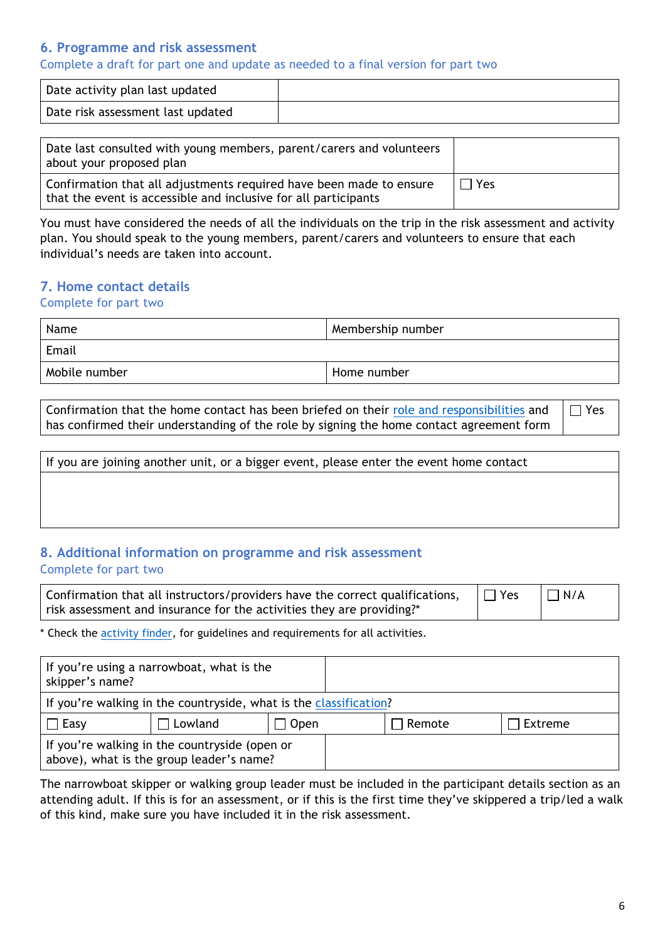#### **6. Programme and risk assessment**

Complete a draft for part one and update as needed to a final version for part two

| Date activity plan last updated   |  |
|-----------------------------------|--|
| Date risk assessment last updated |  |

| Date last consulted with young members, parent/carers and volunteers<br>about your proposed plan                                       |              |
|----------------------------------------------------------------------------------------------------------------------------------------|--------------|
| Confirmation that all adjustments required have been made to ensure<br>that the event is accessible and inclusive for all participants | $\sqcap$ Yes |

You must have considered the needs of all the individuals on the trip in the risk assessment and activity plan. You should speak to the young members, parent/carers and volunteers to ensure that each individual's needs are taken into account.

## **7. Home contact details**

Complete for part two

| Name          | Membership number |
|---------------|-------------------|
| Email         |                   |
| Mobile number | Home number       |

Confirmation that the home contact has been briefed on their role and responsibilities and has confirmed their understanding of the role by signing the home contact agreement form  $\Box$  Yes

| If you are joining another unit, or a bigger event, please enter the event home contact |  |  |
|-----------------------------------------------------------------------------------------|--|--|
|                                                                                         |  |  |
|                                                                                         |  |  |
|                                                                                         |  |  |

### **8. Additional information on programme and risk assessment**  Complete for part two

Confirmation that all instructors/providers have the correct qualifications, risk assessment and insurance for the activities they are providing?\*  $\Box$  Yes  $\Box$  N/A

\* Check the activity finder, for guidelines and requirements for all activities.

| If you're using a narrowboat, what is the<br>skipper's name?                              |         |        |        |         |
|-------------------------------------------------------------------------------------------|---------|--------|--------|---------|
| If you're walking in the countryside, what is the classification?                         |         |        |        |         |
| $\Box$ Easy                                                                               | Lowland | 」 Open | Remote | Extreme |
| If you're walking in the countryside (open or<br>above), what is the group leader's name? |         |        |        |         |

The narrowboat skipper or walking group leader must be included in the participant details section as an attending adult. If this is for an assessment, or if this is the first time they've skippered a trip/led a walk of this kind, make sure you have included it in the risk assessment.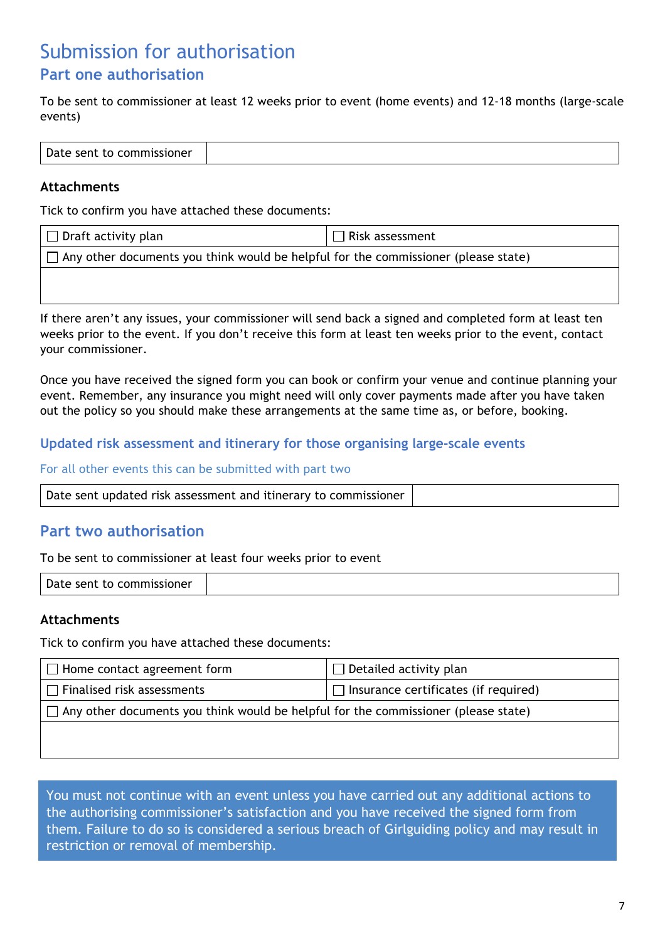## Submission for authorisation **Part one authorisation**

To be sent to commissioner at least 12 weeks prior to event (home events) and 12-18 months (large-scale events)

| Date sent to commissioner |
|---------------------------|
|---------------------------|

#### **Attachments**

Tick to confirm you have attached these documents:

| $\Box$ Draft activity plan                                                                | $\Box$ Risk assessment |  |
|-------------------------------------------------------------------------------------------|------------------------|--|
| $\Box$ Any other documents you think would be helpful for the commissioner (please state) |                        |  |
|                                                                                           |                        |  |

If there aren't any issues, your commissioner will send back a signed and completed form at least ten weeks prior to the event. If you don't receive this form at least ten weeks prior to the event, contact your commissioner.

Once you have received the signed form you can book or confirm your venue and continue planning your event. Remember, any insurance you might need will only cover payments made after you have taken out the policy so you should make these arrangements at the same time as, or before, booking.

#### **Updated risk assessment and itinerary for those organising large-scale events**

For all other events this can be submitted with part two

|--|

## **Part two authorisation**

To be sent to commissioner at least four weeks prior to event

| Date sent to commissioner |
|---------------------------|
|---------------------------|

#### **Attachments**

Tick to confirm you have attached these documents:

| $\Box$ Home contact agreement form                                                        | $\Box$ Detailed activity plan               |  |
|-------------------------------------------------------------------------------------------|---------------------------------------------|--|
| $\Box$ Finalised risk assessments                                                         | $\Box$ Insurance certificates (if required) |  |
| $\Box$ Any other documents you think would be helpful for the commissioner (please state) |                                             |  |
|                                                                                           |                                             |  |
|                                                                                           |                                             |  |

You must not continue with an event unless you have carried out any additional actions to the authorising commissioner's satisfaction and you have received the signed form from them. Failure to do so is considered a serious breach of Girlguiding policy and may result in restriction or removal of membership.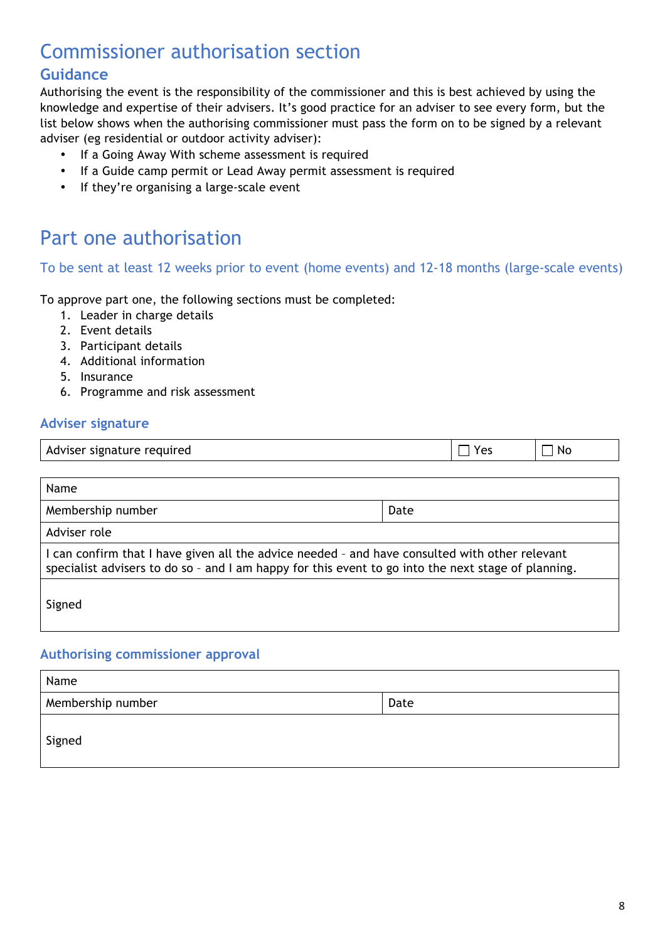# Commissioner authorisation section

## **Guidance**

Authorising the event is the responsibility of the commissioner and this is best achieved by using the knowledge and expertise of their advisers. It's good practice for an adviser to see every form, but the list below shows when the authorising commissioner must pass the form on to be signed by a relevant adviser (eg residential or outdoor activity adviser):

- If a Going Away With scheme assessment is required
- If a Guide camp permit or Lead Away permit assessment is required
- If they're organising a large-scale event

## Part one authorisation

### To be sent at least 12 weeks prior to event (home events) and 12-18 months (large-scale events)

To approve part one, the following sections must be completed:

- 1. Leader in charge details
- 2. Event details
- 3. Participant details
- 4. Additional information
- 5. Insurance
- 6. Programme and risk assessment

### **Adviser signature**

| Adviser signature required<br>- | NΟ |
|---------------------------------|----|
|                                 |    |

| Name                                                                                                                                                                                                  |      |  |
|-------------------------------------------------------------------------------------------------------------------------------------------------------------------------------------------------------|------|--|
| Membership number                                                                                                                                                                                     | Date |  |
| Adviser role                                                                                                                                                                                          |      |  |
| I can confirm that I have given all the advice needed - and have consulted with other relevant<br>specialist advisers to do so - and I am happy for this event to go into the next stage of planning. |      |  |
| Signed                                                                                                                                                                                                |      |  |

#### **Authorising commissioner approval**

| Name              |      |  |
|-------------------|------|--|
| Membership number | Date |  |
| Signed            |      |  |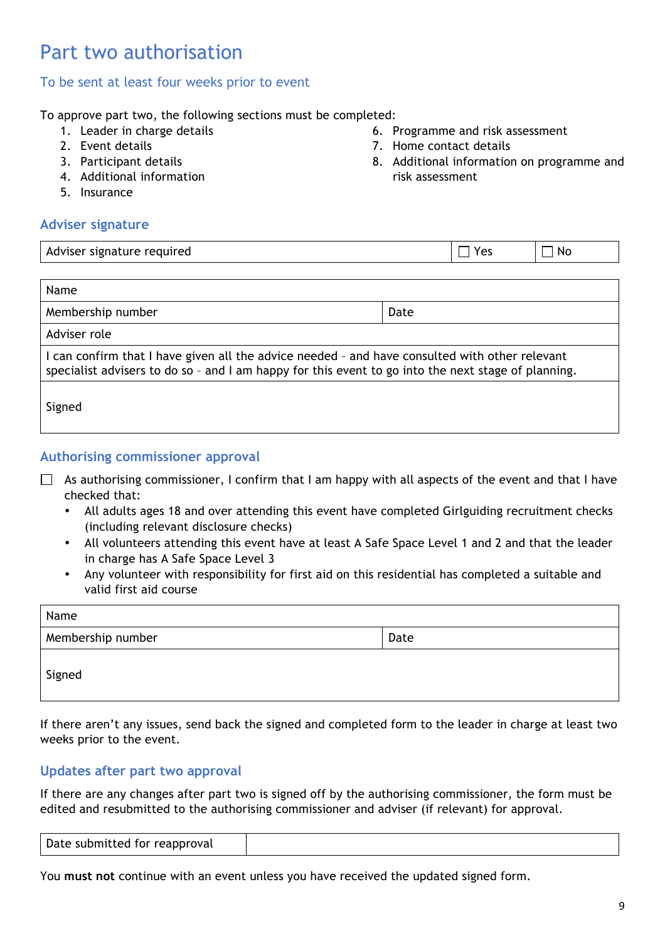## Part two authorisation

#### To be sent at least four weeks prior to event

To approve part two, the following sections must be completed:

- 1. Leader in charge details
- 2. Event details
- 3. Participant details
- 4. Additional information
- 5. Insurance

#### **Adviser signature**

|  | 6. Programme and risk assessment |  |
|--|----------------------------------|--|

- 7. Home contact details
- 8. Additional information on programme and risk assessment

| Adviser signature required                                                                                                                                                                            | Yes  | No. |  |  |  |
|-------------------------------------------------------------------------------------------------------------------------------------------------------------------------------------------------------|------|-----|--|--|--|
|                                                                                                                                                                                                       |      |     |  |  |  |
| Name                                                                                                                                                                                                  |      |     |  |  |  |
| Membership number                                                                                                                                                                                     | Date |     |  |  |  |
| Adviser role                                                                                                                                                                                          |      |     |  |  |  |
| I can confirm that I have given all the advice needed - and have consulted with other relevant<br>specialist advisers to do so - and I am happy for this event to go into the next stage of planning. |      |     |  |  |  |
| Signed                                                                                                                                                                                                |      |     |  |  |  |

#### **Authorising commissioner approval**

- $\Box$  As authorising commissioner, I confirm that I am happy with all aspects of the event and that I have checked that:
	- All adults ages 18 and over attending this event have completed Girlguiding recruitment checks (including relevant disclosure checks)
	- All volunteers attending this event have at least A Safe Space Level 1 and 2 and that the leader in charge has A Safe Space Level 3
	- Any volunteer with responsibility for first aid on this residential has completed a suitable and valid first aid course

| Name              |      |  |  |  |
|-------------------|------|--|--|--|
| Membership number | Date |  |  |  |
| Signed            |      |  |  |  |

If there aren't any issues, send back the signed and completed form to the leader in charge at least two weeks prior to the event.

#### **Updates after part two approval**

If there are any changes after part two is signed off by the authorising commissioner, the form must be edited and resubmitted to the authorising commissioner and adviser (if relevant) for approval.

| Date submitted for reapproval |  |
|-------------------------------|--|
|                               |  |

You **must not** continue with an event unless you have received the updated signed form.